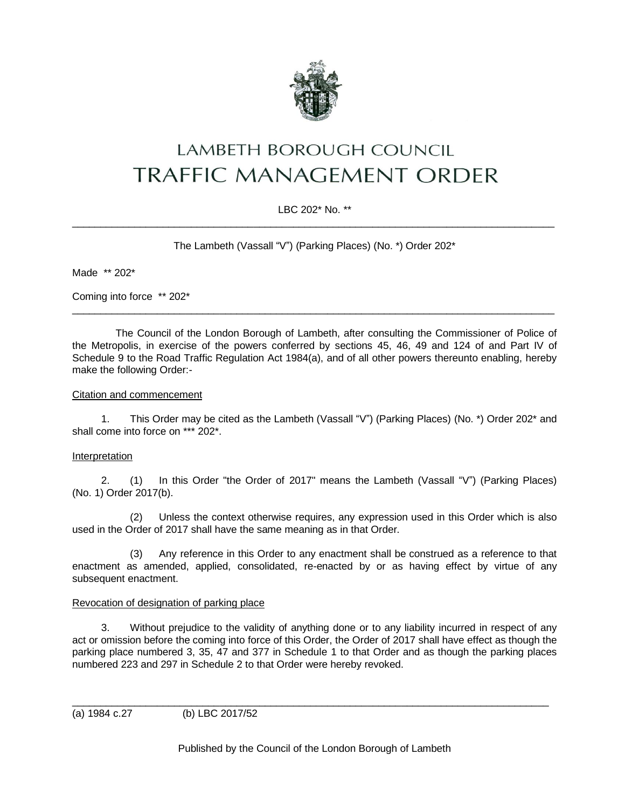

# LAMBETH BOROUGH COUNCIL **TRAFFIC MANAGEMENT ORDER**

## LBC 202\* No. \*\*  $\_$  , and the set of the set of the set of the set of the set of the set of the set of the set of the set of the set of the set of the set of the set of the set of the set of the set of the set of the set of the set of th

The Lambeth (Vassall "V") (Parking Places) (No. \*) Order 202\*

Made \*\* 202\*

Coming into force \*\* 202\*

The Council of the London Borough of Lambeth, after consulting the Commissioner of Police of the Metropolis, in exercise of the powers conferred by sections 45, 46, 49 and 124 of and Part IV of Schedule 9 to the Road Traffic Regulation Act 1984(a), and of all other powers thereunto enabling, hereby make the following Order:-

 $\_$  ,  $\_$  ,  $\_$  ,  $\_$  ,  $\_$  ,  $\_$  ,  $\_$  ,  $\_$  ,  $\_$  ,  $\_$  ,  $\_$  ,  $\_$  ,  $\_$  ,  $\_$  ,  $\_$  ,  $\_$  ,  $\_$  ,  $\_$  ,  $\_$  ,  $\_$  ,  $\_$  ,  $\_$  ,  $\_$  ,  $\_$  ,  $\_$  ,  $\_$  ,  $\_$  ,  $\_$  ,  $\_$  ,  $\_$  ,  $\_$  ,  $\_$  ,  $\_$  ,  $\_$  ,  $\_$  ,  $\_$  ,  $\_$  ,

#### Citation and commencement

1. This Order may be cited as the Lambeth (Vassall "V") (Parking Places) (No. \*) Order 202\* and shall come into force on \*\*\* 202\*.

#### Interpretation

2. (1) In this Order "the Order of 2017" means the Lambeth (Vassall "V") (Parking Places) (No. 1) Order 2017(b).

(2) Unless the context otherwise requires, any expression used in this Order which is also used in the Order of 2017 shall have the same meaning as in that Order.

(3) Any reference in this Order to any enactment shall be construed as a reference to that enactment as amended, applied, consolidated, re-enacted by or as having effect by virtue of any subsequent enactment.

#### Revocation of designation of parking place

3. Without prejudice to the validity of anything done or to any liability incurred in respect of any act or omission before the coming into force of this Order, the Order of 2017 shall have effect as though the parking place numbered 3, 35, 47 and 377 in Schedule 1 to that Order and as though the parking places numbered 223 and 297 in Schedule 2 to that Order were hereby revoked.

(a) 1984 c.27 (b) LBC 2017/52

Published by the Council of the London Borough of Lambeth

\_\_\_\_\_\_\_\_\_\_\_\_\_\_\_\_\_\_\_\_\_\_\_\_\_\_\_\_\_\_\_\_\_\_\_\_\_\_\_\_\_\_\_\_\_\_\_\_\_\_\_\_\_\_\_\_\_\_\_\_\_\_\_\_\_\_\_\_\_\_\_\_\_\_\_\_\_\_\_\_\_\_\_\_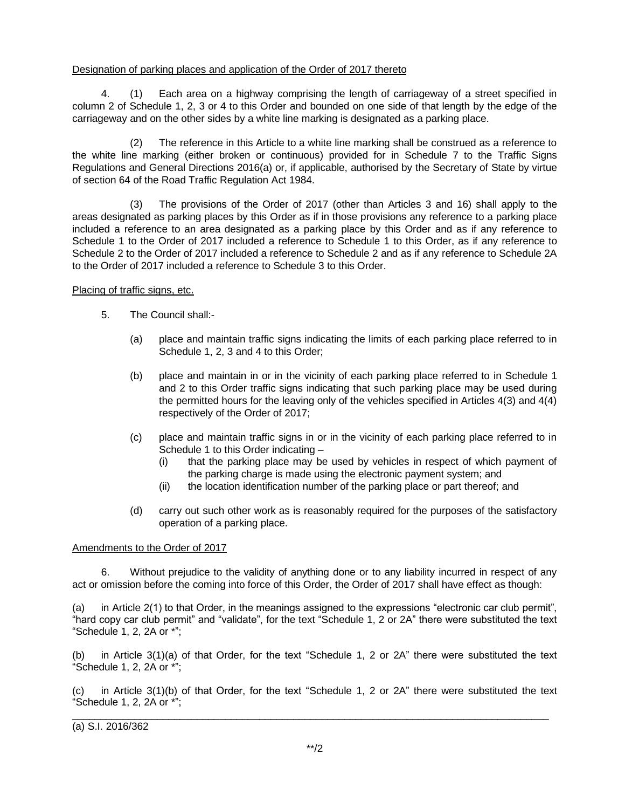### Designation of parking places and application of the Order of 2017 thereto

4. (1) Each area on a highway comprising the length of carriageway of a street specified in column 2 of Schedule 1, 2, 3 or 4 to this Order and bounded on one side of that length by the edge of the carriageway and on the other sides by a white line marking is designated as a parking place.

(2) The reference in this Article to a white line marking shall be construed as a reference to the white line marking (either broken or continuous) provided for in Schedule 7 to the Traffic Signs Regulations and General Directions 2016(a) or, if applicable, authorised by the Secretary of State by virtue of section 64 of the Road Traffic Regulation Act 1984.

(3) The provisions of the Order of 2017 (other than Articles 3 and 16) shall apply to the areas designated as parking places by this Order as if in those provisions any reference to a parking place included a reference to an area designated as a parking place by this Order and as if any reference to Schedule 1 to the Order of 2017 included a reference to Schedule 1 to this Order, as if any reference to Schedule 2 to the Order of 2017 included a reference to Schedule 2 and as if any reference to Schedule 2A to the Order of 2017 included a reference to Schedule 3 to this Order.

## Placing of traffic signs, etc.

- 5. The Council shall:-
	- (a) place and maintain traffic signs indicating the limits of each parking place referred to in Schedule 1, 2, 3 and 4 to this Order;
	- (b) place and maintain in or in the vicinity of each parking place referred to in Schedule 1 and 2 to this Order traffic signs indicating that such parking place may be used during the permitted hours for the leaving only of the vehicles specified in Articles 4(3) and 4(4) respectively of the Order of 2017;
	- (c) place and maintain traffic signs in or in the vicinity of each parking place referred to in Schedule 1 to this Order indicating –
		- (i) that the parking place may be used by vehicles in respect of which payment of the parking charge is made using the electronic payment system; and
		- (ii) the location identification number of the parking place or part thereof; and
	- (d) carry out such other work as is reasonably required for the purposes of the satisfactory operation of a parking place.

## Amendments to the Order of 2017

6. Without prejudice to the validity of anything done or to any liability incurred in respect of any act or omission before the coming into force of this Order, the Order of 2017 shall have effect as though:

(a) in Article 2(1) to that Order, in the meanings assigned to the expressions "electronic car club permit", "hard copy car club permit" and "validate", for the text "Schedule 1, 2 or 2A" there were substituted the text "Schedule 1, 2, 2A or \*";

(b) in Article 3(1)(a) of that Order, for the text "Schedule 1, 2 or 2A" there were substituted the text "Schedule 1, 2, 2A or \*";

(c) in Article 3(1)(b) of that Order, for the text "Schedule 1, 2 or 2A" there were substituted the text "Schedule 1, 2, 2A or \*";

 $\_$  , and the set of the set of the set of the set of the set of the set of the set of the set of the set of the set of the set of the set of the set of the set of the set of the set of the set of the set of the set of th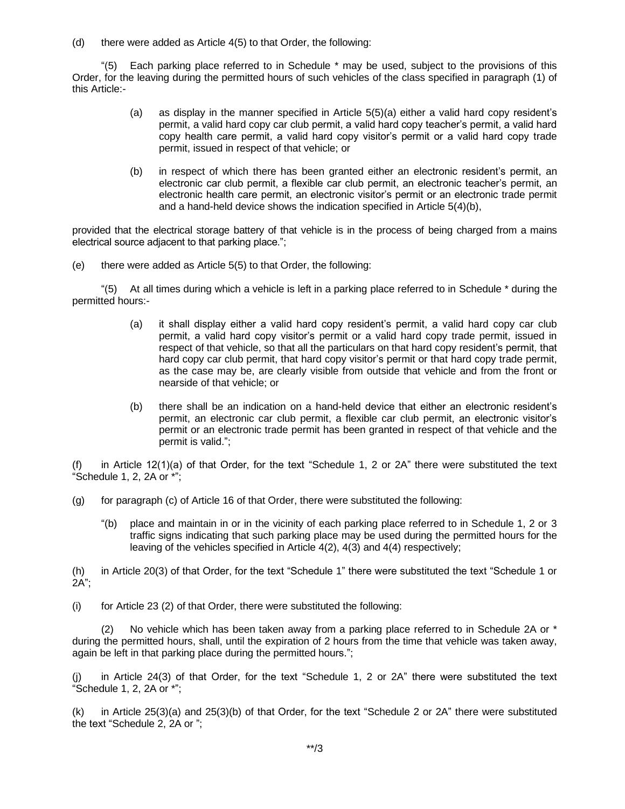(d) there were added as Article 4(5) to that Order, the following:

"(5) Each parking place referred to in Schedule \* may be used, subject to the provisions of this Order, for the leaving during the permitted hours of such vehicles of the class specified in paragraph (1) of this Article:-

- (a) as display in the manner specified in Article 5(5)(a) either a valid hard copy resident's permit, a valid hard copy car club permit, a valid hard copy teacher's permit, a valid hard copy health care permit, a valid hard copy visitor's permit or a valid hard copy trade permit, issued in respect of that vehicle; or
- (b) in respect of which there has been granted either an electronic resident's permit, an electronic car club permit, a flexible car club permit, an electronic teacher's permit, an electronic health care permit, an electronic visitor's permit or an electronic trade permit and a hand-held device shows the indication specified in Article 5(4)(b),

provided that the electrical storage battery of that vehicle is in the process of being charged from a mains electrical source adjacent to that parking place.";

(e) there were added as Article 5(5) to that Order, the following:

"(5) At all times during which a vehicle is left in a parking place referred to in Schedule \* during the permitted hours:-

- (a) it shall display either a valid hard copy resident's permit, a valid hard copy car club permit, a valid hard copy visitor's permit or a valid hard copy trade permit, issued in respect of that vehicle, so that all the particulars on that hard copy resident's permit, that hard copy car club permit, that hard copy visitor's permit or that hard copy trade permit, as the case may be, are clearly visible from outside that vehicle and from the front or nearside of that vehicle; or
- (b) there shall be an indication on a hand-held device that either an electronic resident's permit, an electronic car club permit, a flexible car club permit, an electronic visitor's permit or an electronic trade permit has been granted in respect of that vehicle and the permit is valid.";

in Article 12(1)(a) of that Order, for the text "Schedule 1, 2 or 2A" there were substituted the text "Schedule 1, 2, 2A or \*";

- (g) for paragraph (c) of Article 16 of that Order, there were substituted the following:
	- "(b) place and maintain in or in the vicinity of each parking place referred to in Schedule 1, 2 or 3 traffic signs indicating that such parking place may be used during the permitted hours for the leaving of the vehicles specified in Article 4(2), 4(3) and 4(4) respectively;

(h) in Article 20(3) of that Order, for the text "Schedule 1" there were substituted the text "Schedule 1 or  $2A$ ":

(i) for Article 23 (2) of that Order, there were substituted the following:

(2) No vehicle which has been taken away from a parking place referred to in Schedule 2A or  $*$ during the permitted hours, shall, until the expiration of 2 hours from the time that vehicle was taken away, again be left in that parking place during the permitted hours.";

in Article 24(3) of that Order, for the text "Schedule 1, 2 or 2A" there were substituted the text "Schedule 1, 2, 2A or \*";

(k) in Article 25(3)(a) and 25(3)(b) of that Order, for the text "Schedule 2 or 2A" there were substituted the text "Schedule 2, 2A or ";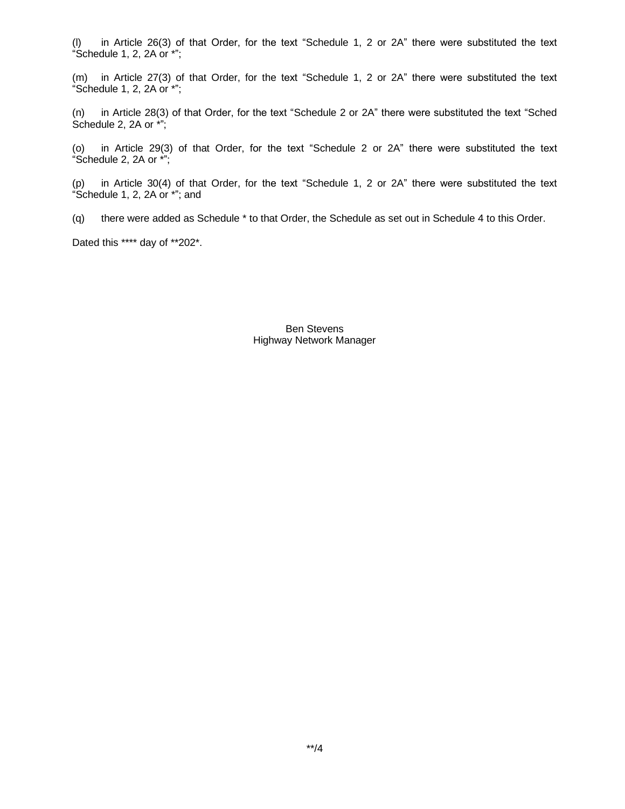(l) in Article 26(3) of that Order, for the text "Schedule 1, 2 or 2A" there were substituted the text "Schedule 1, 2, 2A or \*";

(m) in Article 27(3) of that Order, for the text "Schedule 1, 2 or 2A" there were substituted the text "Schedule 1, 2, 2A or \*";

(n) in Article 28(3) of that Order, for the text "Schedule 2 or 2A" there were substituted the text "Sched Schedule 2, 2A or \*";

(o) in Article 29(3) of that Order, for the text "Schedule 2 or 2A" there were substituted the text "Schedule 2, 2A or \*";

(p) in Article 30(4) of that Order, for the text "Schedule 1, 2 or 2A" there were substituted the text "Schedule 1, 2, 2A or \*"; and

(q) there were added as Schedule \* to that Order, the Schedule as set out in Schedule 4 to this Order.

Dated this \*\*\*\* day of \*\*202\*.

Ben Stevens Highway Network Manager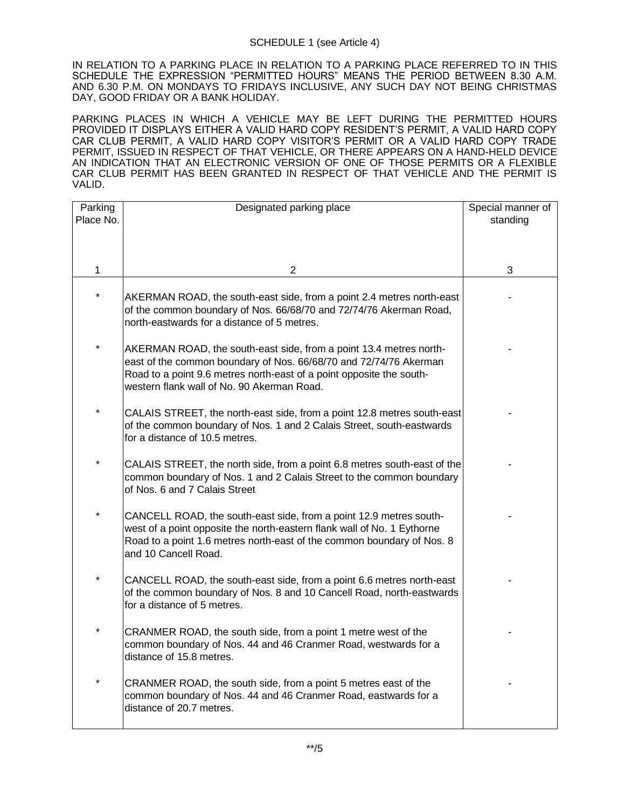IN RELATION TO A PARKING PLACE IN RELATION TO A PARKING PLACE REFERRED TO IN THIS SCHEDULE THE EXPRESSION "PERMITTED HOURS" MEANS THE PERIOD BETWEEN 8.30 A.M. AND 6.30 P.M. ON MONDAYS TO FRIDAYS INCLUSIVE, ANY SUCH DAY NOT BEING CHRISTMAS DAY, GOOD FRIDAY OR A BANK HOLIDAY.

PARKING PLACES IN WHICH A VEHICLE MAY BE LEFT DURING THE PERMITTED HOURS PROVIDED IT DISPLAYS EITHER A VALID HARD COPY RESIDENT'S PERMIT, A VALID HARD COPY CAR CLUB PERMIT, A VALID HARD COPY VISITOR'S PERMIT OR A VALID HARD COPY TRADE PERMIT, ISSUED IN RESPECT OF THAT VEHICLE, OR THERE APPEARS ON A HAND-HELD DEVICE AN INDICATION THAT AN ELECTRONIC VERSION OF ONE OF THOSE PERMITS OR A FLEXIBLE CAR CLUB PERMIT HAS BEEN GRANTED IN RESPECT OF THAT VEHICLE AND THE PERMIT IS VALID.

| Parking   | Designated parking place                                                                                                                                                                                                                                      | Special manner of |
|-----------|---------------------------------------------------------------------------------------------------------------------------------------------------------------------------------------------------------------------------------------------------------------|-------------------|
| Place No. |                                                                                                                                                                                                                                                               | standing          |
|           |                                                                                                                                                                                                                                                               |                   |
|           |                                                                                                                                                                                                                                                               |                   |
| 1         | 2                                                                                                                                                                                                                                                             | 3                 |
|           | AKERMAN ROAD, the south-east side, from a point 2.4 metres north-east<br>of the common boundary of Nos. 66/68/70 and 72/74/76 Akerman Road,<br>north-eastwards for a distance of 5 metres.                                                                    |                   |
| $\star$   | AKERMAN ROAD, the south-east side, from a point 13.4 metres north-<br>east of the common boundary of Nos. 66/68/70 and 72/74/76 Akerman<br>Road to a point 9.6 metres north-east of a point opposite the south-<br>western flank wall of No. 90 Akerman Road. |                   |
|           | CALAIS STREET, the north-east side, from a point 12.8 metres south-east<br>of the common boundary of Nos. 1 and 2 Calais Street, south-eastwards<br>for a distance of 10.5 metres.                                                                            |                   |
| $\star$   | CALAIS STREET, the north side, from a point 6.8 metres south-east of the<br>common boundary of Nos. 1 and 2 Calais Street to the common boundary<br>of Nos. 6 and 7 Calais Street                                                                             |                   |
| $\star$   | CANCELL ROAD, the south-east side, from a point 12.9 metres south-<br>west of a point opposite the north-eastern flank wall of No. 1 Eythorne<br>Road to a point 1.6 metres north-east of the common boundary of Nos. 8<br>and 10 Cancell Road.               |                   |
|           | CANCELL ROAD, the south-east side, from a point 6.6 metres north-east<br>of the common boundary of Nos. 8 and 10 Cancell Road, north-eastwards<br>for a distance of 5 metres.                                                                                 |                   |
| $\star$   | CRANMER ROAD, the south side, from a point 1 metre west of the<br>common boundary of Nos. 44 and 46 Cranmer Road, westwards for a<br>distance of 15.8 metres.                                                                                                 |                   |
| $\star$   | CRANMER ROAD, the south side, from a point 5 metres east of the<br>common boundary of Nos. 44 and 46 Cranmer Road, eastwards for a<br>distance of 20.7 metres.                                                                                                |                   |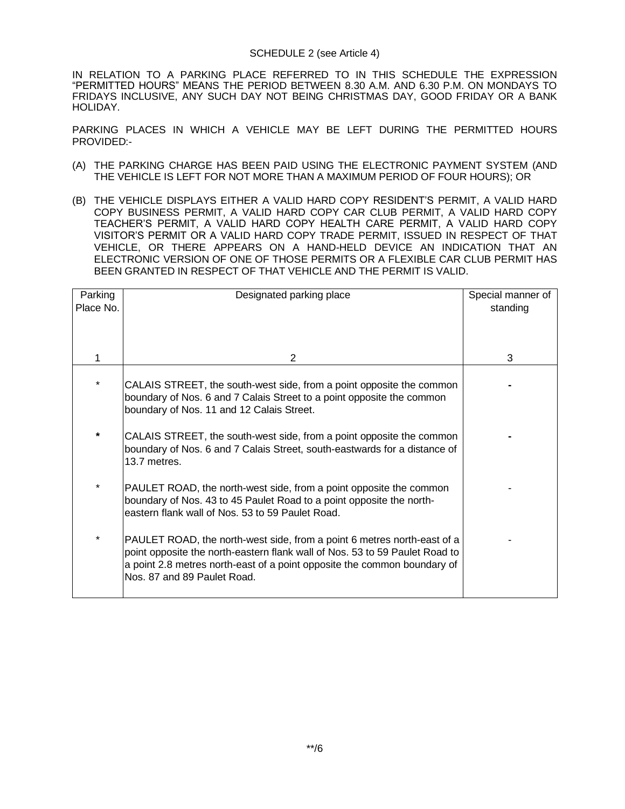IN RELATION TO A PARKING PLACE REFERRED TO IN THIS SCHEDULE THE EXPRESSION "PERMITTED HOURS" MEANS THE PERIOD BETWEEN 8.30 A.M. AND 6.30 P.M. ON MONDAYS TO FRIDAYS INCLUSIVE, ANY SUCH DAY NOT BEING CHRISTMAS DAY, GOOD FRIDAY OR A BANK HOLIDAY.

PARKING PLACES IN WHICH A VEHICLE MAY BE LEFT DURING THE PERMITTED HOURS PROVIDED:-

- (A) THE PARKING CHARGE HAS BEEN PAID USING THE ELECTRONIC PAYMENT SYSTEM (AND THE VEHICLE IS LEFT FOR NOT MORE THAN A MAXIMUM PERIOD OF FOUR HOURS); OR
- (B) THE VEHICLE DISPLAYS EITHER A VALID HARD COPY RESIDENT'S PERMIT, A VALID HARD COPY BUSINESS PERMIT, A VALID HARD COPY CAR CLUB PERMIT, A VALID HARD COPY TEACHER'S PERMIT, A VALID HARD COPY HEALTH CARE PERMIT, A VALID HARD COPY VISITOR'S PERMIT OR A VALID HARD COPY TRADE PERMIT, ISSUED IN RESPECT OF THAT VEHICLE, OR THERE APPEARS ON A HAND-HELD DEVICE AN INDICATION THAT AN ELECTRONIC VERSION OF ONE OF THOSE PERMITS OR A FLEXIBLE CAR CLUB PERMIT HAS BEEN GRANTED IN RESPECT OF THAT VEHICLE AND THE PERMIT IS VALID.

| Parking<br>Place No. | Designated parking place                                                                                                                                                                                                                                          | Special manner of<br>standing |
|----------------------|-------------------------------------------------------------------------------------------------------------------------------------------------------------------------------------------------------------------------------------------------------------------|-------------------------------|
|                      | $\overline{2}$                                                                                                                                                                                                                                                    | 3                             |
| $\star$              | CALAIS STREET, the south-west side, from a point opposite the common<br>boundary of Nos. 6 and 7 Calais Street to a point opposite the common<br>boundary of Nos. 11 and 12 Calais Street.                                                                        |                               |
| $\star$              | CALAIS STREET, the south-west side, from a point opposite the common<br>boundary of Nos. 6 and 7 Calais Street, south-eastwards for a distance of<br>13.7 metres.                                                                                                 |                               |
|                      | PAULET ROAD, the north-west side, from a point opposite the common<br>boundary of Nos. 43 to 45 Paulet Road to a point opposite the north-<br>eastern flank wall of Nos. 53 to 59 Paulet Road.                                                                    |                               |
| *                    | PAULET ROAD, the north-west side, from a point 6 metres north-east of a<br>point opposite the north-eastern flank wall of Nos. 53 to 59 Paulet Road to<br>a point 2.8 metres north-east of a point opposite the common boundary of<br>Nos. 87 and 89 Paulet Road. |                               |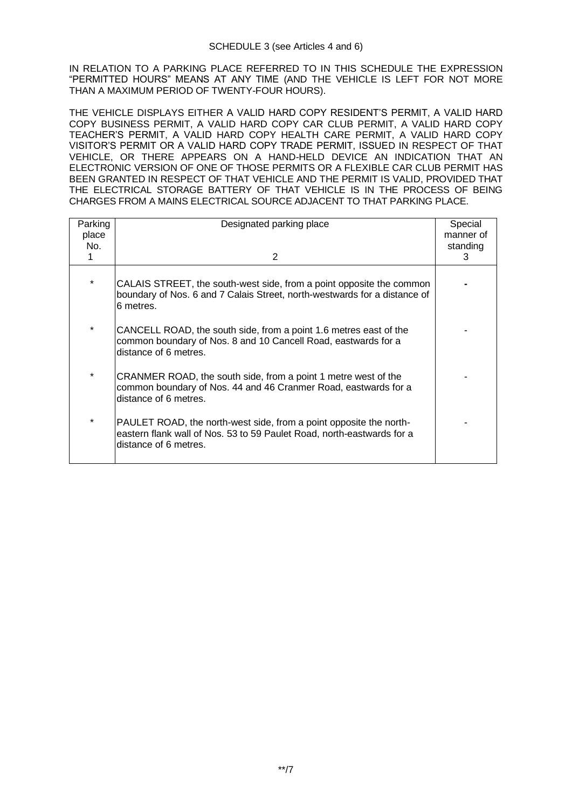IN RELATION TO A PARKING PLACE REFERRED TO IN THIS SCHEDULE THE EXPRESSION "PERMITTED HOURS" MEANS AT ANY TIME (AND THE VEHICLE IS LEFT FOR NOT MORE THAN A MAXIMUM PERIOD OF TWENTY-FOUR HOURS).

THE VEHICLE DISPLAYS EITHER A VALID HARD COPY RESIDENT'S PERMIT, A VALID HARD COPY BUSINESS PERMIT, A VALID HARD COPY CAR CLUB PERMIT, A VALID HARD COPY TEACHER'S PERMIT, A VALID HARD COPY HEALTH CARE PERMIT, A VALID HARD COPY VISITOR'S PERMIT OR A VALID HARD COPY TRADE PERMIT, ISSUED IN RESPECT OF THAT VEHICLE, OR THERE APPEARS ON A HAND-HELD DEVICE AN INDICATION THAT AN ELECTRONIC VERSION OF ONE OF THOSE PERMITS OR A FLEXIBLE CAR CLUB PERMIT HAS BEEN GRANTED IN RESPECT OF THAT VEHICLE AND THE PERMIT IS VALID, PROVIDED THAT THE ELECTRICAL STORAGE BATTERY OF THAT VEHICLE IS IN THE PROCESS OF BEING CHARGES FROM A MAINS ELECTRICAL SOURCE ADJACENT TO THAT PARKING PLACE.

| Parking<br>place<br>No. | Designated parking place                                                                                                                                              | Special<br>manner of<br>standing |
|-------------------------|-----------------------------------------------------------------------------------------------------------------------------------------------------------------------|----------------------------------|
|                         | 2                                                                                                                                                                     | 3                                |
| $\star$                 | CALAIS STREET, the south-west side, from a point opposite the common<br>boundary of Nos. 6 and 7 Calais Street, north-westwards for a distance of<br>6 metres.        |                                  |
| $\star$                 | CANCELL ROAD, the south side, from a point 1.6 metres east of the<br>common boundary of Nos. 8 and 10 Cancell Road, eastwards for a<br>distance of 6 metres.          |                                  |
| $\star$                 | CRANMER ROAD, the south side, from a point 1 metre west of the<br>common boundary of Nos. 44 and 46 Cranmer Road, eastwards for a<br>distance of 6 metres.            |                                  |
| $\star$                 | PAULET ROAD, the north-west side, from a point opposite the north-<br>eastern flank wall of Nos. 53 to 59 Paulet Road, north-eastwards for a<br>distance of 6 metres. |                                  |